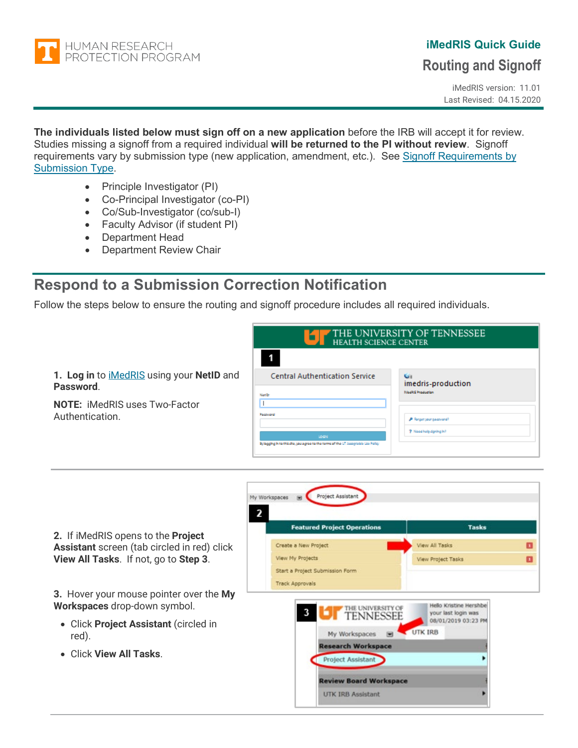<span id="page-0-0"></span>

# **iMedRIS Quick Guide**

### **Routing and Signoff**

iMedRIS version: 11.01 Last Revised: 04.15.2020

**The individuals listed below must sign off on a new application** before the IRB will accept it for review. Studies missing a signoff from a required individual **will be returned to the PI without review**. Signoff requirements vary by submission type (new application, amendment, etc.). See [Signoff Requirements](#page-6-0) by [Submission Type.](#page-6-0)

- Principle Investigator (PI)
- Co-Principal Investigator (co-PI)
- Co/Sub-Investigator (co/sub-I)
- Faculty Advisor (if student PI)
- Department Head
- Department Review Chair

## **Respond to a Submission Correction Notification**

Follow the steps below to ensure the routing and signoff procedure includes all required individuals.

| 1. Log in to iMedRIS using your NetID and | <b>Central Authentication Service</b> |
|-------------------------------------------|---------------------------------------|
| Password.                                 |                                       |
| <b>NOTE:</b> iMedRIS uses Two-Factor      |                                       |

**NOTE:** iMedRIS uses Two-Factor Authentication.

| THE UNIVERSITY OF TENNESSEE<br><b>HEALTH SCIENCE CENTER</b>                                            |                                                                |  |  |
|--------------------------------------------------------------------------------------------------------|----------------------------------------------------------------|--|--|
| 1                                                                                                      |                                                                |  |  |
| <b>Central Authentication Service</b><br>Neelb:                                                        | <b>Card</b><br>imedris-production<br><b>Meditis Production</b> |  |  |
| Pacovord<br>Legal<br>By logging in to this cite, you agree to the terms of the UT describe like Policy | <b>P</b> Forget your pacoveral?<br>7 Nood holp daning in?      |  |  |



**2.** If iMedRIS opens to the **Project Assistant** screen (tab circled in red) click **View All Tasks**. If not, go to **Step 3**.

**3.** Hover your mouse pointer over the **My Workspaces** drop-down symbol.

- Click **Project Assistant** (circled in red).
- Click **View All Tasks**.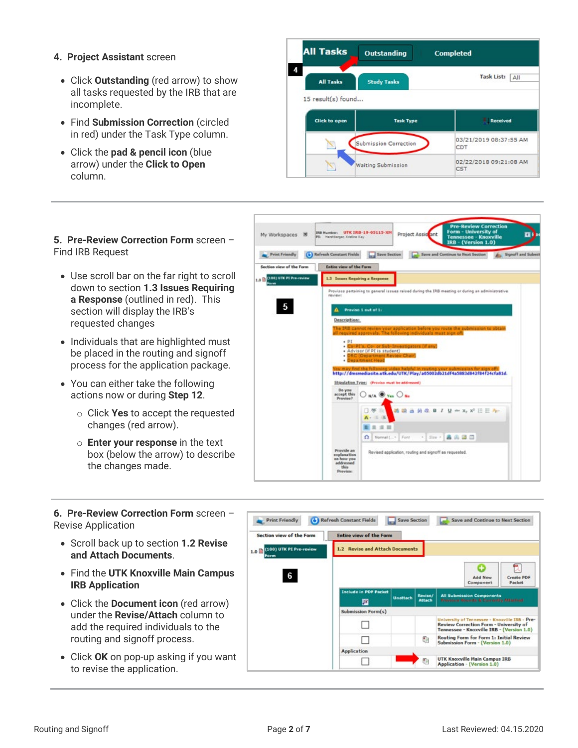- **4. Project Assistant** screen
	- Click **Outstanding** (red arrow) to show all tasks requested by the IRB that are incomplete.
	- Find **Submission Correction** (circled in red) under the Task Type column.
	- Click the **pad & pencil icon** (blue arrow) under the **Click to Open** column.



### **5. Pre-Review Correction Form** screen – Find IRB Request

- Use scroll bar on the far right to scroll down to section **1.3 Issues Requiring a Response** (outlined in red). This section will display the IRB's requested changes
- Individuals that are highlighted must be placed in the routing and signoff process for the application package.
- You can either take the following actions now or during **Step 12**.
	- o Click **Yes** to accept the requested changes (red arrow).
	- o **Enter your response** in the text box (below the arrow) to describe the changes made.



**6. Pre-Review Correction Form** screen – Revise Application

- Scroll back up to section **1.2 Revise and Attach Documents**.
- Find the **UTK Knoxville Main Campus IRB Application**
- Click the **Document icon** (red arrow) under the **Revise/Attach** column to add the required individuals to the routing and signoff process.
- Click **OK** on pop-up asking if you want to revise the application.

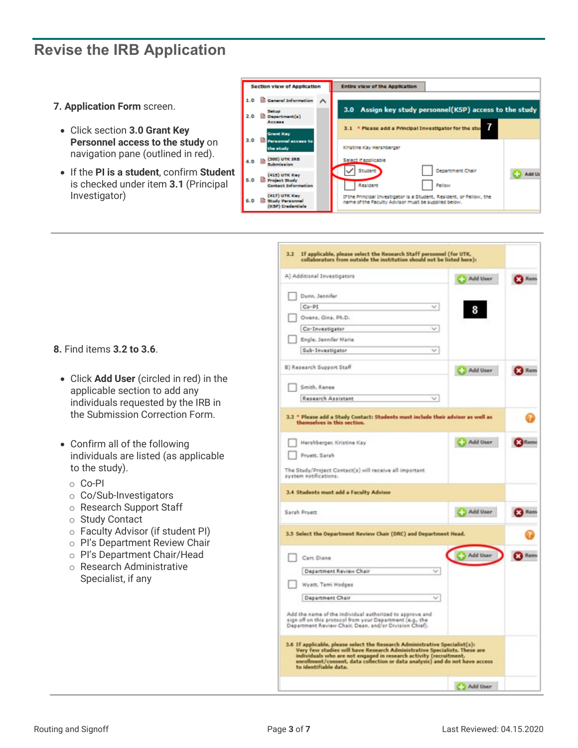## **Revise the IRB Application**

- **7. Application Form** screen.
	- Click section **3.0 Grant Key Personnel access to the study** on navigation pane (outlined in red).
	- If the **PI is a student**, confirm **Student** is checked under item **3.1** (Principal Investigator)



|                                                                                                                                                                                                                                                                                                                                                                                                                   | Add User   | <b>X</b> Rem |
|-------------------------------------------------------------------------------------------------------------------------------------------------------------------------------------------------------------------------------------------------------------------------------------------------------------------------------------------------------------------------------------------------------------------|------------|--------------|
| Dunn, Jennifer                                                                                                                                                                                                                                                                                                                                                                                                    |            |              |
| $C_0 - PI$<br>$\sim$                                                                                                                                                                                                                                                                                                                                                                                              | 8          |              |
| Owens, Gina, Ph.D.                                                                                                                                                                                                                                                                                                                                                                                                |            |              |
| Co-Investigator<br>w                                                                                                                                                                                                                                                                                                                                                                                              |            |              |
| Engle, Jennifer Marie                                                                                                                                                                                                                                                                                                                                                                                             |            |              |
| Sub-Investigator<br>$\sim$                                                                                                                                                                                                                                                                                                                                                                                        |            |              |
| B) Research Support Staff                                                                                                                                                                                                                                                                                                                                                                                         | Add User   | <b>Kem</b>   |
| Smith, Renee                                                                                                                                                                                                                                                                                                                                                                                                      |            |              |
| Research Assistant<br>v                                                                                                                                                                                                                                                                                                                                                                                           |            |              |
| 3.3 * Please add a Study Contact: Students must include their advisor as well as<br>themselves in this section.<br>Hershberger, Kristine Kay                                                                                                                                                                                                                                                                      | Add User   | <b>Rent</b>  |
|                                                                                                                                                                                                                                                                                                                                                                                                                   |            |              |
| Pruett, Sarah                                                                                                                                                                                                                                                                                                                                                                                                     |            |              |
| The Study/Project Contact(s) will receive all important<br>system notifications.                                                                                                                                                                                                                                                                                                                                  |            |              |
| 3.4 Students must add a Faculty Advisor                                                                                                                                                                                                                                                                                                                                                                           |            |              |
| Sarah Pruett                                                                                                                                                                                                                                                                                                                                                                                                      | Add User   | <b>Rem</b>   |
|                                                                                                                                                                                                                                                                                                                                                                                                                   |            |              |
| 3.5 Select the Department Review Chair (DRC) and Department Head.                                                                                                                                                                                                                                                                                                                                                 |            |              |
| Carr, Diane                                                                                                                                                                                                                                                                                                                                                                                                       | C Add User | Rem          |
| Department Review Chair<br>$\sim$                                                                                                                                                                                                                                                                                                                                                                                 |            |              |
| Wyatt, Tami Hodges                                                                                                                                                                                                                                                                                                                                                                                                |            |              |
| Department Chair<br>$\checkmark$                                                                                                                                                                                                                                                                                                                                                                                  |            |              |
| Add the name of the individual authorized to approve and<br>sign off on this protocol from your Department (e.g., the<br>Department Review Chair, Dean, and/or Division Chief).<br>3.6 If applicable, please select the Research Administrative Specialist(s):<br>Very few studies will have Research Administrative Specialists. These are<br>individuals who are not engaged in research activity (recruitment, |            |              |
| enrollment/consent, data collection or data analysis) and do not have access<br>to identifiable data.                                                                                                                                                                                                                                                                                                             |            |              |

**8.** Find items **3.2 to 3.6**.

- Click **Add User** (circled in red) in the applicable section to add any individuals requested by the IRB in the Submission Correction Form.
- Confirm all of the following individuals are listed (as applicable to the study).
	- o Co-PI
	- o Co/Sub-Investigators
	- o Research Support Staff
	- o Study Contact
	- o Faculty Advisor (if student PI)
	- o PI's Department Review Chair
	- o PI's Department Chair/Head
	- o Research Administrative Specialist, if any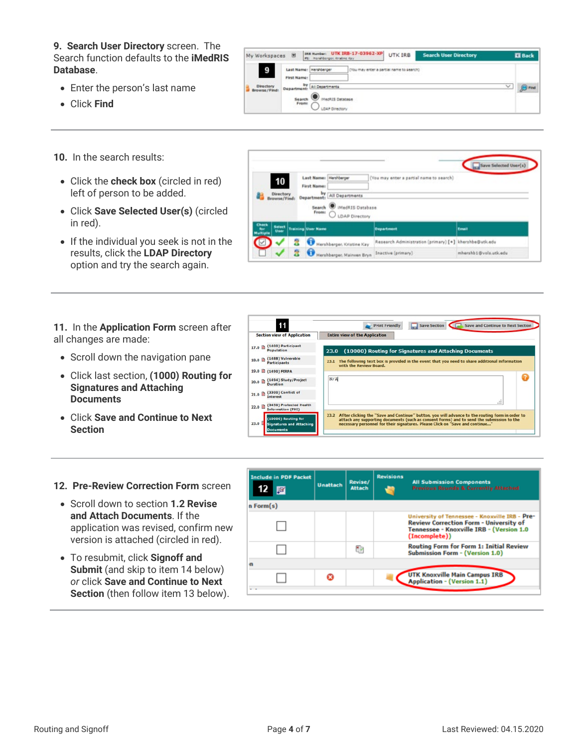**9. Search User Directory** screen. The Search function defaults to the **iMedRIS Database**.

- Enter the person's last name
- Click **Find**
- **10.** In the search results:
	- Click the **check box** (circled in red) left of person to be added.
	- Click **Save Selected User(s)** (circled in red).
	- If the individual you seek is not in the results, click the **LDAP Directory** option and try the search again.



| 10                              | <b>First Name:</b>        | Last Name: Hershberger                   | (You may enter a partial name to search)               |       |
|---------------------------------|---------------------------|------------------------------------------|--------------------------------------------------------|-------|
| <b>Directory</b><br>Browse/Find | Department:               | by<br>All Departments                    |                                                        |       |
|                                 | From:                     | Search MedRIS Database<br>LDAP Directory |                                                        |       |
| Check<br>Select                 | <b>Training User Name</b> |                                          | <b>Department</b>                                      | Email |
| for<br>Multiple<br>User         |                           |                                          |                                                        |       |
| $\overline{\mathscr{C}}$        | 2                         | Hershberger, Kristine Kay                | Research Administration (primary) [+] khershbe@utk.edu |       |

**11.** In the **Application Form** screen after all changes are made:

- Scroll down the navigation pane
- Click last section, **(1000) Routing for Signatures and Attaching Documents**
- Click **Save and Continue to Next Section**

| 11                                                                          | Save and Continue to Next Section<br><b>Save Section</b><br><b>Print Friendly</b>                                                                                                                                                                                                  |
|-----------------------------------------------------------------------------|------------------------------------------------------------------------------------------------------------------------------------------------------------------------------------------------------------------------------------------------------------------------------------|
| <b>Section view of Application</b>                                          | <b>Entire view of the Application</b>                                                                                                                                                                                                                                              |
| (1400) Participant<br>17.0 国<br>Population                                  | (10000) Routing for Signatures and Attaching Documents<br>23.0                                                                                                                                                                                                                     |
| (1488) Vulnerable<br>18.0<br>Participants                                   | The following text box is provided in the event that you need to share additional information<br>23.1<br>with the Review Board.                                                                                                                                                    |
| 19.0 (1490) FERPA                                                           |                                                                                                                                                                                                                                                                                    |
| (1494) Study/Project<br>20.0<br>Duration                                    | N/A                                                                                                                                                                                                                                                                                |
| (3300) Conflict of<br>21.0<br>Interest                                      |                                                                                                                                                                                                                                                                                    |
| (3450) Protected Health<br>22.0<br>Information (PHI)                        | $-11$                                                                                                                                                                                                                                                                              |
| (10000) Routing for<br>23.0<br><b>Signatures and Attaching</b><br>Documents | 23.2 After clicking the "Save and Continue" button, you will advance to the routing form in order to<br>attach any supporting documents (such as consent forms) and to send the submission to the<br>necessary personnel for their signatures. Please Click on "Save and continue" |

#### **12. Pre-Review Correction Form** screen

- Scroll down to section **1.2 Revise and Attach Documents**. If the application was revised, confirm new version is attached (circled in red).
- To resubmit, click **Signoff and Submit** (and skip to item 14 below) *or* click **Save and Continue to Next Section** (then follow item 13 below).

| <b>Include in PDF Packet</b><br>層 | <b>Unattach</b> | Revise/<br><b>Attach</b> | <b>Revisions</b> | <b>All Submission Components</b><br>Previous Rounds & Currently Attached                                                                                     |
|-----------------------------------|-----------------|--------------------------|------------------|--------------------------------------------------------------------------------------------------------------------------------------------------------------|
| n Form(s)                         |                 |                          |                  |                                                                                                                                                              |
|                                   |                 |                          |                  | University of Tennessee - Knoxville IRB - Pre-<br><b>Review Correction Form - University of</b><br>Tennessee - Knoxville IRB - (Version 1.0<br>(Incomplete)) |
|                                   |                 | Гh                       |                  | <b>Routing Form for Form 1: Initial Review</b><br><b>Submission Form - (Version 1.0)</b>                                                                     |
|                                   |                 |                          |                  |                                                                                                                                                              |
|                                   |                 |                          |                  | <b>UTK Knoxville Main Campus IRB</b><br><b>Application - (Version 1.1)</b>                                                                                   |
|                                   |                 |                          |                  |                                                                                                                                                              |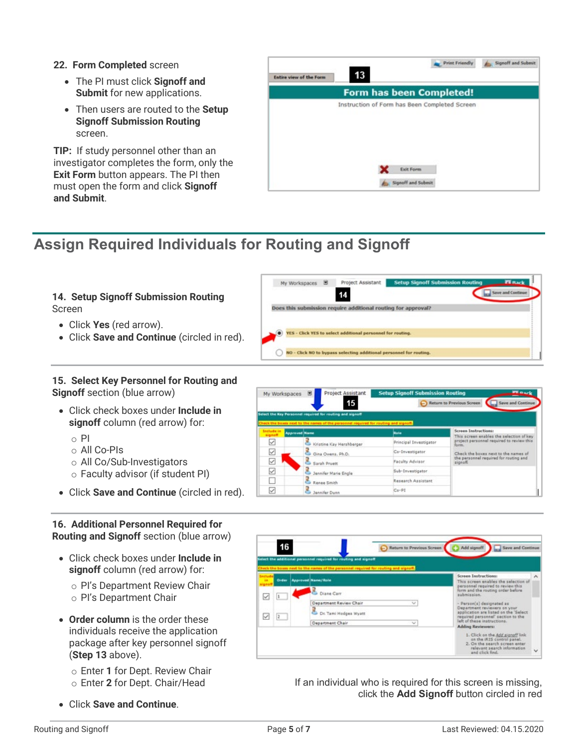### **22. Form Completed** screen

- The PI must click **Signoff and Submit** for new applications.
- Then users are routed to the **Setup Signoff Submission Routing** screen.

**TIP:** If study personnel other than an investigator completes the form, only the **Exit Form** button appears. The PI then must open the form and click **Signoff and Submit**.

### Print Friendly Signoff and Submit  $13$ Entire view of the Form Form has been Completed! Instruction of Form has Been Completed Screen **X** Exit Form Signoff and Subn

# **Assign Required Individuals for Routing and Signoff**



### **15. Select Key Personnel for Routing and Signoff** section (blue arrow)

- Click check boxes under **Include in signoff** column (red arrow) for:
	- $\circ$  PI
	- o All Co-PIs
	- o All Co/Sub-Investigators
	- o Faculty advisor (if student PI)
- Click **Save and Continue** (circled in red).

### **16. Additional Personnel Required for Routing and Signoff** section (blue arrow)

- Click check boxes under **Include in signoff** column (red arrow) for:
	- o PI's Department Review Chair
	- o PI's Department Chair
- **Order column** is the order these individuals receive the application package after key personnel signoff (**Step 13** above).
	- o Enter **1** for Dept. Review Chair o Enter **2** for Dept. Chair/Head
- Click **Save and Continue**.

| My Workspaces               | Project Assistant<br>15<br>Select the Key Personnel required for routing and signoff                         | <b>Setup Signoff Submission Routing</b> | <b>Planck</b><br>Return to Previous Screen<br><b>Save and Continue</b>  |
|-----------------------------|--------------------------------------------------------------------------------------------------------------|-----------------------------------------|-------------------------------------------------------------------------|
| Include in<br><b>Bongia</b> | Check the boxes next to the names of the personnel required for routing and signoff.<br><b>Approved Name</b> | Role                                    | <b>Screen Instructions:</b><br>This screen enables the selection of key |
|                             | Kristine Kay Hershberger                                                                                     | Principal Investigator                  | project personnel required to review this<br>form.                      |
| ⊻                           | Gina Owens, Ph.D.                                                                                            | Co-Investigator                         | Check the boxes next to the names of                                    |
| ▽                           | Sarah Pruett                                                                                                 | Faculty Advisor                         | the personnel required for routing and<br>signoff.                      |
| $\overline{\check{}}$       | Jennifer Marie Engle                                                                                         | Sub-Investigator                        |                                                                         |
|                             | Renee Smith                                                                                                  | Research Assistant                      |                                                                         |
| ✓                           | Jennifer Dunn                                                                                                | $C_0$ . $P_1$                           |                                                                         |

|            |       | Select the additional personnel required for routing and signoff<br>heck the boxes next to the names of the personnel required for routing and signoff. |                                                                                                                                          |
|------------|-------|---------------------------------------------------------------------------------------------------------------------------------------------------------|------------------------------------------------------------------------------------------------------------------------------------------|
| <b>THE</b> | Order | <b>Approved Name/Role</b>                                                                                                                               | <b>Screen Instructions:</b><br>This screen enables the selection of                                                                      |
|            |       | Diana Carr                                                                                                                                              | personnel required to review this<br>form and the routing order before<br>submission.                                                    |
|            | 12    | Department Review Chair<br>$\sim$<br>Dr. Tami Hodges Wyatt                                                                                              | - Person(s) designated as<br>Department reviewers on your<br>application are listed on the 'Select<br>required personnel' section to the |
|            |       | Department Chair<br>$\sim$                                                                                                                              | left of these instructions.<br><b>Adding Reviewers:</b>                                                                                  |

If an individual who is required for this screen is missing, click the **Add Signoff** button circled in red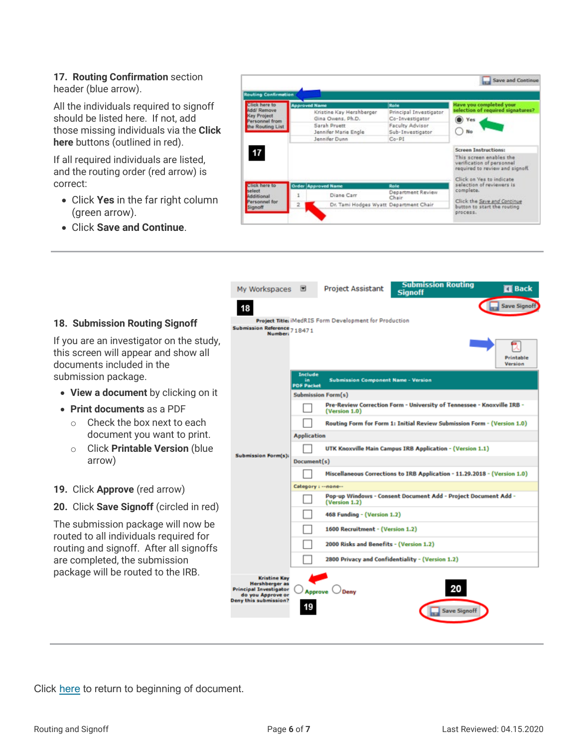### **17. Routing Confirmation** section header (blue arrow).

All the individuals required to signoff should be listed here. If not, add those missing individuals via the **Click here** buttons (outlined in red).

If all required individuals are listed, and the routing order (red arrow) is correct:

- Click **Yes** in the far right column (green arrow).
- Click **Save and Continue**.



| My Workspaces                                                                                                        | ◛                         | <b>Project Assistant</b>                                      | <b>Submission Routing</b><br><b>Signoff</b>                               | <b>ET</b> Back       |
|----------------------------------------------------------------------------------------------------------------------|---------------------------|---------------------------------------------------------------|---------------------------------------------------------------------------|----------------------|
| 18                                                                                                                   |                           |                                                               |                                                                           | <b>Save Signoff</b>  |
| Submission Reference 7 18471                                                                                         |                           | <b>Project Title: iMedRIS Form Development for Production</b> |                                                                           |                      |
| <b>Number:</b>                                                                                                       | Include                   |                                                               |                                                                           | Printable<br>Version |
|                                                                                                                      | îñ<br><b>PDF Packet</b>   | <b>Submission Component Name - Version</b>                    |                                                                           |                      |
|                                                                                                                      | <b>Submission Form(s)</b> |                                                               |                                                                           |                      |
|                                                                                                                      |                           | (Version 1.0)                                                 | Pre-Review Correction Form - University of Tennessee - Knoxville IRB -    |                      |
|                                                                                                                      |                           |                                                               | Routing Form for Form 1: Initial Review Submission Form - (Version 1.0)   |                      |
|                                                                                                                      | <b>Application</b>        |                                                               |                                                                           |                      |
| <b>Submission Form(s):</b>                                                                                           |                           |                                                               | UTK Knoxville Main Campus IRB Application - (Version 1.1)                 |                      |
|                                                                                                                      | Document(s)               |                                                               |                                                                           |                      |
|                                                                                                                      |                           |                                                               | Miscellaneous Corrections to IRB Application - 11.29.2018 - (Version 1.0) |                      |
|                                                                                                                      | Category: -- none--       |                                                               |                                                                           |                      |
|                                                                                                                      |                           | (Version 1.2)                                                 | Pop-up Windows - Consent Document Add - Project Document Add -            |                      |
|                                                                                                                      |                           | 468 Funding - (Version 1.2)                                   |                                                                           |                      |
|                                                                                                                      |                           | 1600 Recruitment - (Version 1.2)                              |                                                                           |                      |
|                                                                                                                      |                           | 2000 Risks and Benefits - (Version 1.2)                       |                                                                           |                      |
|                                                                                                                      |                           |                                                               | 2800 Privacy and Confidentiality - (Version 1.2)                          |                      |
| <b>Kristine Kay</b><br>Hershberger as<br><b>Principal Investigator</b><br>do you Approve or<br>Deny this submission? | <b>Approve</b>            | Deny                                                          | 20                                                                        |                      |
|                                                                                                                      |                           |                                                               | <b>Save Signoff</b>                                                       |                      |

### **18. Submission Routing Signoff**

If you are an investigator on the study, this screen will appear and show all documents included in the submission package.

- **View a document** by clicking on it
- **Print documents** as a PDF
	- o Check the box next to each document you want to print.
	- o Click **Printable Version** (blue arrow)

### **19.** Click **Approve** (red arrow)

**20.** Click **Save Signoff** (circled in red)

The submission package will now be routed to all individuals required for routing and signoff. After all signoffs are completed, the submission package will be routed to the IRB.

Click [here](#page-0-0) to return to beginning of document.